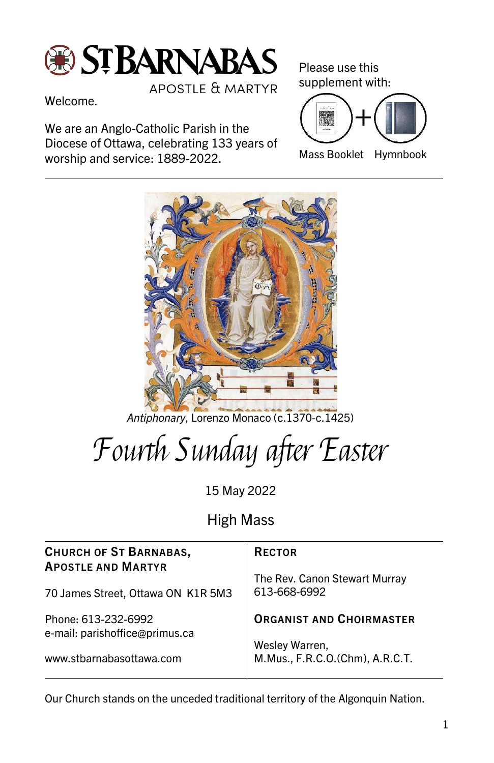

APOSTLE & MARTYR

Welcome.

We are an Anglo-Catholic Parish in the Diocese of Ottawa, celebrating 133 years of worship and service: 1889-2022.

Please use this supplement with:





Antiphonary, Lorenzo Monaco (c.1370-c.1425)

# Fourth Sunday after Easter

15 May 2022

# High Mass

| <b>CHURCH OF ST BARNABAS,</b><br><b>APOSTLE AND MARTYR</b> | <b>RECTOR</b>                                     |
|------------------------------------------------------------|---------------------------------------------------|
| 70 James Street, Ottawa ON K1R 5M3                         | The Rev. Canon Stewart Murray<br>613-668-6992     |
| Phone: 613-232-6992<br>e-mail: parishoffice@primus.ca      | <b>ORGANIST AND CHOIRMASTER</b>                   |
| www.stbarnabasottawa.com                                   | Wesley Warren,<br>M.Mus., F.R.C.O.(Chm), A.R.C.T. |

Our Church stands on the unceded traditional territory of the Algonquin Nation.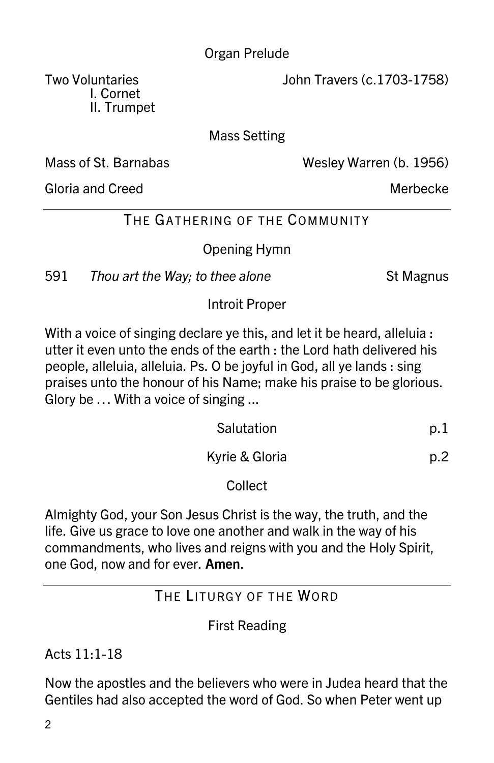Two Voluntaries John Travers (c.1703-1758)

 I. Cornet II. Trumpet

Mass Setting

Mass of St. Barnabas Wesley Warren (b. 1956)

Gloria and Creed **Merbecke** Merbecke Merbecke

# THE GATHERING OF THE COMMUNITY

Opening Hymn

591 Thou art the Way; to thee alone St Magnus

Introit Proper

With a voice of singing declare ye this, and let it be heard, alleluia : utter it even unto the ends of the earth : the Lord hath delivered his people, alleluia, alleluia. Ps. O be joyful in God, all ye lands : sing praises unto the honour of his Name; make his praise to be glorious. Glory be … With a voice of singing ...

| Salutation     | D. L |
|----------------|------|
| Kyrie & Gloria | p.2  |

Collect

Almighty God, your Son Jesus Christ is the way, the truth, and the life. Give us grace to love one another and walk in the way of his commandments, who lives and reigns with you and the Holy Spirit, one God, now and for ever. Amen.

# THE LITURGY OF THE WORD

First Reading

Acts 11:1-18

Now the apostles and the believers who were in Judea heard that the Gentiles had also accepted the word of God. So when Peter went up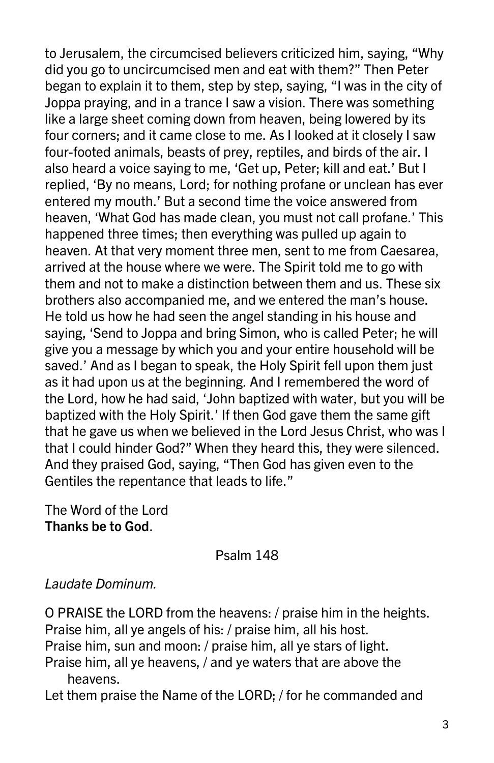to Jerusalem, the circumcised believers criticized him, saying, "Why did you go to uncircumcised men and eat with them?" Then Peter began to explain it to them, step by step, saying, "I was in the city of Joppa praying, and in a trance I saw a vision. There was something like a large sheet coming down from heaven, being lowered by its four corners; and it came close to me. As I looked at it closely I saw four-footed animals, beasts of prey, reptiles, and birds of the air. I also heard a voice saying to me, 'Get up, Peter; kill and eat.' But I replied, 'By no means, Lord; for nothing profane or unclean has ever entered my mouth.' But a second time the voice answered from heaven, 'What God has made clean, you must not call profane.' This happened three times; then everything was pulled up again to heaven. At that very moment three men, sent to me from Caesarea, arrived at the house where we were. The Spirit told me to go with them and not to make a distinction between them and us. These six brothers also accompanied me, and we entered the man's house. He told us how he had seen the angel standing in his house and saying, 'Send to Joppa and bring Simon, who is called Peter; he will give you a message by which you and your entire household will be saved.' And as I began to speak, the Holy Spirit fell upon them just as it had upon us at the beginning. And I remembered the word of the Lord, how he had said, 'John baptized with water, but you will be baptized with the Holy Spirit.' If then God gave them the same gift that he gave us when we believed in the Lord Jesus Christ, who was I that I could hinder God?" When they heard this, they were silenced. And they praised God, saying, "Then God has given even to the Gentiles the repentance that leads to life."

The Word of the Lord Thanks be to God.

#### Psalm 148

#### Laudate Dominum.

O PRAISE the LORD from the heavens: / praise him in the heights. Praise him, all ye angels of his: / praise him, all his host.

Praise him, sun and moon: / praise him, all ye stars of light.

Praise him, all ye heavens, / and ye waters that are above the heavens.

Let them praise the Name of the LORD; / for he commanded and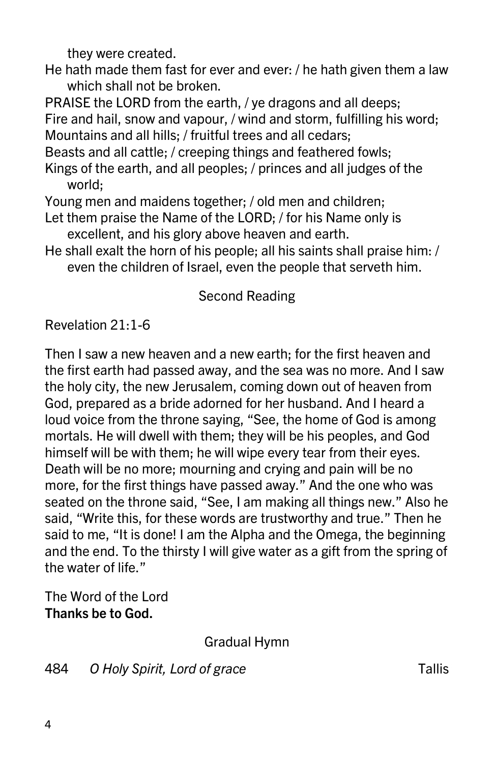they were created.

He hath made them fast for ever and ever: / he hath given them a law which shall not be broken.

PRAISE the LORD from the earth, / ye dragons and all deeps;

Fire and hail, snow and vapour, / wind and storm, fulfilling his word; Mountains and all hills; / fruitful trees and all cedars;

Beasts and all cattle; / creeping things and feathered fowls;

Kings of the earth, and all peoples; / princes and all judges of the world;

Young men and maidens together; / old men and children;

Let them praise the Name of the LORD; / for his Name only is excellent, and his glory above heaven and earth.

He shall exalt the horn of his people; all his saints shall praise him: / even the children of Israel, even the people that serveth him.

## Second Reading

Revelation 21:1-6

Then I saw a new heaven and a new earth; for the first heaven and the first earth had passed away, and the sea was no more. And I saw the holy city, the new Jerusalem, coming down out of heaven from God, prepared as a bride adorned for her husband. And I heard a loud voice from the throne saying, "See, the home of God is among mortals. He will dwell with them; they will be his peoples, and God himself will be with them; he will wipe every tear from their eyes. Death will be no more; mourning and crying and pain will be no more, for the first things have passed away." And the one who was seated on the throne said, "See, I am making all things new." Also he said, "Write this, for these words are trustworthy and true." Then he said to me, "It is done! I am the Alpha and the Omega, the beginning and the end. To the thirsty I will give water as a gift from the spring of the water of life."

The Word of the Lord Thanks be to God.

Gradual Hymn

484 O Holy Spirit, Lord of grace Tallis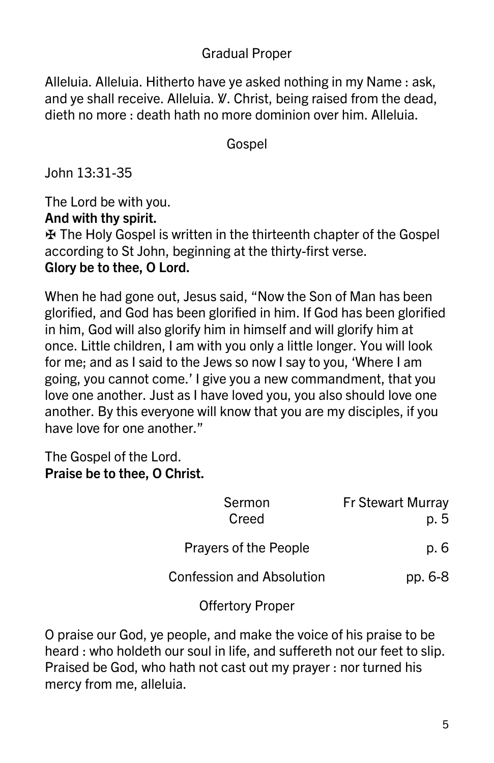#### Gradual Proper

Alleluia. Alleluia. Hitherto have ye asked nothing in my Name : ask, and ye shall receive. Alleluia. W. Christ, being raised from the dead, dieth no more : death hath no more dominion over him. Alleluia.

#### Gospel

John 13:31-35

The Lord be with you.

#### And with thy spirit.

✠ The Holy Gospel is written in the thirteenth chapter of the Gospel according to St John, beginning at the thirty-first verse. Glory be to thee, O Lord.

When he had gone out, Jesus said, "Now the Son of Man has been glorified, and God has been glorified in him. If God has been glorified in him, God will also glorify him in himself and will glorify him at once. Little children, I am with you only a little longer. You will look for me; and as I said to the Jews so now I say to you, 'Where I am going, you cannot come.' I give you a new commandment, that you love one another. Just as I have loved you, you also should love one another. By this everyone will know that you are my disciples, if you have love for one another."

#### The Gospel of the Lord. Praise be to thee, O Christ.

| Sermon<br>Creed                  | <b>Fr Stewart Murray</b><br>p. 5 |
|----------------------------------|----------------------------------|
| Prayers of the People            | p. 6                             |
| <b>Confession and Absolution</b> | pp. 6-8                          |
| <b>Offertory Proper</b>          |                                  |

O praise our God, ye people, and make the voice of his praise to be heard : who holdeth our soul in life, and suffereth not our feet to slip. Praised be God, who hath not cast out my prayer : nor turned his mercy from me, alleluia.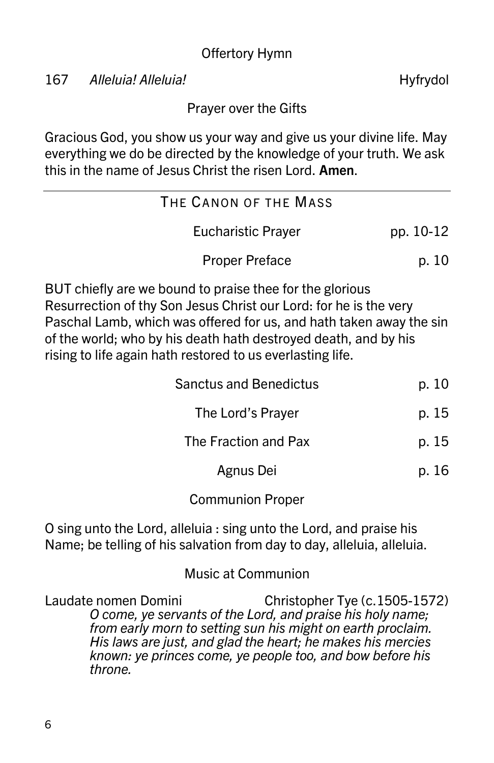#### Offertory Hymn

167 Alleluia! Alleluia! Material Alleluia et al. et al. et al. et al. et al. et al. et al. et al. et al. et al

Prayer over the Gifts

Gracious God, you show us your way and give us your divine life. May everything we do be directed by the knowledge of your truth. We ask this in the name of Jesus Christ the risen Lord. Amen.

| THE CANON OF THE MASS                                                                                                                                                                                                                                                                                                                 |           |
|---------------------------------------------------------------------------------------------------------------------------------------------------------------------------------------------------------------------------------------------------------------------------------------------------------------------------------------|-----------|
| <b>Eucharistic Prayer</b>                                                                                                                                                                                                                                                                                                             | pp. 10-12 |
| <b>Proper Preface</b>                                                                                                                                                                                                                                                                                                                 | p. 10     |
| BUT chiefly are we bound to praise thee for the glorious<br>Resurrection of thy Son Jesus Christ our Lord: for he is the very<br>Paschal Lamb, which was offered for us, and hath taken away the sin<br>of the world; who by his death hath destroyed death, and by his<br>rising to life again hath restored to us everlasting life. |           |

| <b>Sanctus and Benedictus</b> | p. 10 |
|-------------------------------|-------|
| The Lord's Prayer             | p. 15 |
| The Fraction and Pax          | p. 15 |
| Agnus Dei                     | p. 16 |
|                               |       |

Communion Proper

O sing unto the Lord, alleluia : sing unto the Lord, and praise his Name; be telling of his salvation from day to day, alleluia, alleluia.

Music at Communion

Laudate nomen Domini Christopher Tye (c.1505-1572) O come, ye servants of the Lord, and praise his holy name; from early morn to setting sun his might on earth proclaim. His laws are just, and glad the heart; he makes his mercies known: ye princes come, ye people too, and bow before his throne.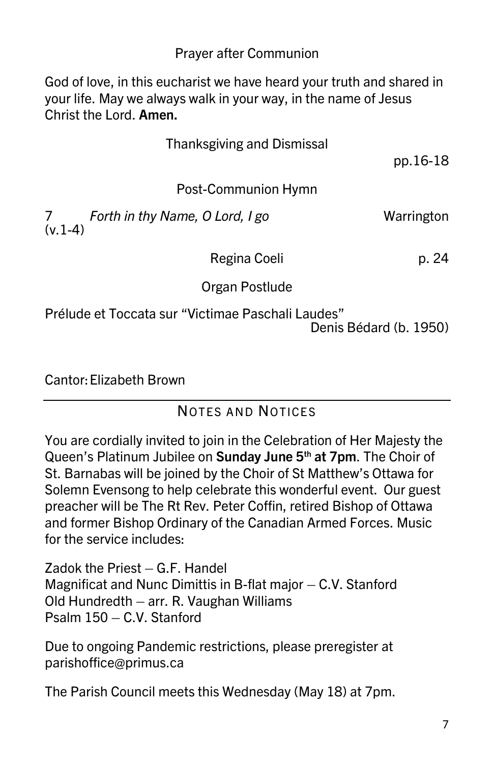#### Prayer after Communion

God of love, in this eucharist we have heard your truth and shared in your life. May we always walk in your way, in the name of Jesus Christ the Lord. Amen.

| <b>Thanksgiving and Dismissal</b>                 | pp.16-18               |
|---------------------------------------------------|------------------------|
| Post-Communion Hymn                               |                        |
| Forth in thy Name, O Lord, I go<br>$(v.1-4)$      | Warrington             |
| Regina Coeli                                      | p. 24                  |
| Organ Postlude                                    |                        |
| Prélude et Toccata sur "Victimae Paschali Laudes" | Denis Bédard (b. 1950) |

Cantor: Elizabeth Brown

## NOTES AND NOTICES

You are cordially invited to join in the Celebration of Her Majesty the Queen's Platinum Jubilee on Sunday June 5<sup>th</sup> at 7pm. The Choir of St. Barnabas will be joined by the Choir of St Matthew's Ottawa for Solemn Evensong to help celebrate this wonderful event. Our guest preacher will be The Rt Rev. Peter Coffin, retired Bishop of Ottawa and former Bishop Ordinary of the Canadian Armed Forces. Music for the service includes:

Zadok the Priest – G.F. Handel Magnificat and Nunc Dimittis in B-flat major – C.V. Stanford Old Hundredth – arr. R. Vaughan Williams Psalm 150 – C.V. Stanford

Due to ongoing Pandemic restrictions, please preregister at parishoffice@primus.ca

The Parish Council meets this Wednesday (May 18) at 7pm.